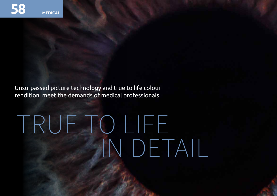Unsurpassed picture technology and true to life colour rendition meet the demands of medical professionals

# TRUE TO LIFE IN DETAIL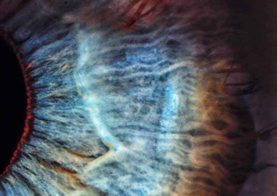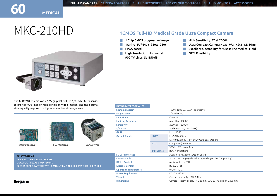**MEDICAL**

**60**

### MKC-210HD 1CMOS Full-HD Medical Grade Ultra Compact Camera



The MKC-210HD employs 2.1Mega pixel Full-HD 1/3-inch CMOS sensor to provide 900 lines of high definition video images, and the optimal video quality required for high-end medical video systems.



*Recording Board CCU Mainboard Camera Head*

RELATED ITEMS:



MICROSCOPE ADAPTORS WITH C-MOUNT CMA-100HD | CVA-300RI | CFA-200

IP BOARD | RECORDING BOARD DUAL FOOT PEDAL | MDR-600HD



- n 1 Chip CMOS progressive Image
- $1/3$ -inch Full-HD (1920 $\times$ 1080)
- **N** FPGA based
- **n** High Resolution: Horizontal 900 TV Lines, S/N50dB
- $\blacksquare$  High Sensitivity: F7 at 2000 lx
- **Ultra Compact Camera Head:** W31xD31xD36mm
- $\blacksquare$  Excellent Operability for Use in the Medical Field
- **NOEM Possibility**

| RATINGS / PERFORMANCE        |                    |                                                                      |  |  |
|------------------------------|--------------------|----------------------------------------------------------------------|--|--|
| <b>Scanning System</b>       |                    | 1920 x 1080 50/59.94 Progressive                                     |  |  |
| <b>Image Sensor</b>          |                    | 1/3-inch CMOS                                                        |  |  |
| <b>Lens Mount</b>            |                    | C-mount                                                              |  |  |
| <b>Limiting Resolution</b>   |                    | More than 900 TVL                                                    |  |  |
| <b>Sensitivity</b>           |                    | 2000 lx F7/3200°K                                                    |  |  |
| <b>S/N Ratio</b>             |                    | 50 dB (Gamma / Detail OFF)                                           |  |  |
| <b>GAIN</b>                  |                    | Up to 18dB                                                           |  |  |
| <b>Output Signals</b>        | <b>HDTV</b>        | HD-SDI BNC 2ch                                                       |  |  |
|                              |                    | DVI (1920 $\times$ 1080 i/p) 1 ch (2 <sup>nd</sup> Output as Option) |  |  |
|                              | <b>SDTV</b>        | Composite (VBS) BNC 1 ch                                             |  |  |
|                              |                    | S-Video S-Terminal 1 ch                                              |  |  |
|                              | <b>IP Ethernet</b> | RJ45 1 ch (Option)                                                   |  |  |
| <b>SD Card Interface</b>     |                    | Available (IP Ethernet Option Board)                                 |  |  |
| Camera Cable                 |                    | 5 m or 10 m single (selectable depending on the Compositing)         |  |  |
| <b>DC Iris Control</b>       |                    | Available (from CCU)                                                 |  |  |
| <b>External Control</b>      |                    | RS-232C 1 ch                                                         |  |  |
| <b>Operating Temperature</b> |                    | $0^{\circ}$ C to +40 $^{\circ}$ C                                    |  |  |
| <b>Power Requirement</b>     |                    | $DC 12V \pm 10\%$                                                    |  |  |
| Weight                       |                    | Camera Head: 60 g; CCU: 1.1 kg                                       |  |  |
| <b>Dimensions</b>            |                    | Camera Head: W 31 x H 31 x D 36 mm; CCU: W 170 x H 58 x D 200 mm     |  |  |
|                              |                    |                                                                      |  |  |

**Ikegami**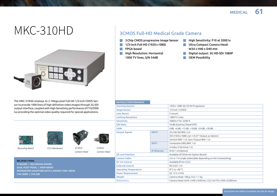### MKC-310HD 3CMOS Full-HD Medical Grade Camera



The MKC-310HD employs 3x 2.1Mega pixel Full-HD 1/3-inch CMOS Sensor to provide 1000 lines of high definition video images through 3G-SDI output interface, coupled with High Sensitivity performance of F10/2000 lux providing the optimal video quality required for special applications.



*Recording Board*

*CCU Mainboard 3CMOS Camera Head*





*1CMOS Camera Head*

- **n** 3 Chip CMOS progressive Image Sensor
- $1/3$ -inch Full-HD (1920 $\times$ 1080)
- **N** FPGA based
- $\blacksquare$  High Resolution: Horizontal 1000 TV lines, S/N 54dB
- $\blacksquare$  High Sensitivity: F10 at 2000 lx
- **N** Ultra Compact Camera Head:
- W34 x H40 x D40 mm
- Digital output: 3G HD-SDI 1080P
- **NOEM Possibility**

| RATINGS/PERFORMANCE          |                    |                                                                      |  |  |  |
|------------------------------|--------------------|----------------------------------------------------------------------|--|--|--|
| <b>Scanning System</b>       |                    | 1920 x 1080 50/59.94 Progressive                                     |  |  |  |
| <b>Image Sensor</b>          |                    | 1/3-inch 3 CMOS                                                      |  |  |  |
| <b>Lens Mount</b>            |                    | C-mount                                                              |  |  |  |
| <b>Limiting Resolution</b>   |                    | 1000 TV Lines                                                        |  |  |  |
| <b>Sensitivity</b>           |                    | 2000 lx F10 / 3200°K                                                 |  |  |  |
| <b>S/N Ratio</b>             |                    | 54 dB (Gamma / Detail OFF)                                           |  |  |  |
| <b>GAIN</b>                  |                    | 0 dB, +6 dB, +12 dB, +18 dB, +24 dB, +30 dB                          |  |  |  |
| <b>Output Signals</b>        | <b>HDTV</b>        | 3G/HD-SDI BNC 2 ch                                                   |  |  |  |
|                              |                    | DVI (1920 $\times$ 1080 i/p) 1 ch (2 <sup>nd</sup> Output as Option) |  |  |  |
|                              |                    | Genlock BNC 1 ch, Sync Output BNC 1 ch                               |  |  |  |
|                              | <b>SDTV</b>        | Composite (VBS) BNC 1 ch                                             |  |  |  |
|                              |                    | S-Video S-Terminal 1 ch                                              |  |  |  |
|                              | <b>IP Ethernet</b> | RJ45 1 ch (Option)                                                   |  |  |  |
| <b>SD card Interface</b>     |                    | Available (IP Ethernet Option Board)                                 |  |  |  |
| Camera Cable                 |                    | 5 m or 7 m single (selectable depending on the Compositing)          |  |  |  |
| <b>DC Iris Control</b>       |                    | Available (from CCU)                                                 |  |  |  |
| <b>External Control</b>      |                    | RS-232C 1 ch                                                         |  |  |  |
| <b>Operating Temperature</b> |                    | $0^{\circ}$ C to +40 $^{\circ}$ C                                    |  |  |  |
| <b>Power Requirement</b>     |                    | $DC.12V + 10%$                                                       |  |  |  |
| Weight                       |                    | Camera Head: 100 g; CCU: 1.1 kg                                      |  |  |  |
| <b>Dimensions</b>            |                    | Camera Head: W34 x H40 x D40 mm, CCU: W170 x H58 x D200 mm           |  |  |  |
|                              |                    |                                                                      |  |  |  |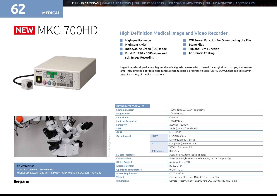**62 MEDICAL**

### **NEW** MKC-700HD



### High Definition Medical Image and Video Recorder

- $\blacksquare$  High quality image
- $\blacksquare$  High sensitivity
- **n** Indocyanine Green (ICG) mode
- $\blacksquare$  Full-HD 1920 x 1080 video and
	- still Image Recording
- **FTP Server Function for Downloading the File**
- **Scene Files**
- Flip and Turn Function
- $\blacksquare$  Anti-biotic Coating

Ikegami has developed a new high-end medical grade camera which is used for surgical microscope, shadowless lamp, including the operative field camera system. It has a progressive scan Full-HD 3CMOS that can take advantage of a variety of medical situations.



RELATED ITEMS: DUAL FOOT PEDAL | MDR-600HD MICROSCOPE ADAPTORS WITH C-MOUNT CMA-100HD | CVA-300RI | CFA-200

**Ikegami** 

| RATINGS / PERFORMANCE        |                    |                                                            |  |  |
|------------------------------|--------------------|------------------------------------------------------------|--|--|
| <b>Scanning System</b>       |                    | 1920 x 1080 50/59.94 Progressive                           |  |  |
| Image sensor                 |                    | 1/3-inch CMOS                                              |  |  |
| <b>Lens Mount</b>            |                    | C-mount                                                    |  |  |
| <b>Limiting Resolution</b>   |                    | 1000TV Lines                                               |  |  |
| <b>Sensitivity</b>           |                    | 2000 lx F7/3200°K                                          |  |  |
| S/N                          |                    | 56 dB (Gamma/Detail OFF)                                   |  |  |
| <b>GAIN</b>                  |                    | Up to 18dB                                                 |  |  |
| <b>Output signal</b>         | <b>HDTV</b>        | HD-SDI BNC 2ch                                             |  |  |
|                              |                    | DVI(1920x1080 i/p) 1ch                                     |  |  |
|                              | <b>SDTV</b>        | Composite (VBS) BNC 1ch                                    |  |  |
|                              |                    | S-Video S-terminal 1ch                                     |  |  |
|                              | <b>IP Ethernet</b> | R.J45 1ch                                                  |  |  |
| <b>SD</b> card interface     |                    | Available (IP Ethernet option board)                       |  |  |
| Camera cable                 |                    | 5m or 10m single (selectable depending on the compositing) |  |  |
| <b>DC Iris Control</b>       |                    | Available (from CCU)                                       |  |  |
| <b>External Control</b>      |                    | RS-232C 1ch                                                |  |  |
| <b>Operating Temperature</b> |                    | $0^{\circ}$ C to +40 $^{\circ}$ C                          |  |  |
| <b>Power Requirement</b>     |                    | DC 12V ±10%                                                |  |  |
| Weight                       |                    | Camera Head: less than 100g; CCU: less than 3kg            |  |  |
| <b>Dimensions</b>            |                    | Camera Head: W34 x W40 x D40 mm; CCU W210 x H80 x D270 mm  |  |  |
|                              |                    |                                                            |  |  |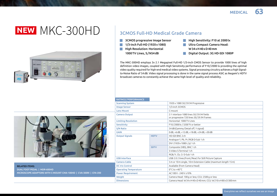MKC-300HD 3CMOS Full-HD Medical Grade Camera **NEW**



- **n** 3CMOS progressive Image Sensor
- $1/3$ -inch Full-HD (1920 $\times$ 1080)
- $\blacksquare$  High Resolution: Horizontal 1000TV Lines, S/N54dB
- $\blacksquare$  High Sensitivity: F10 at 2000 lx
- **N** Ultra Compact Camera Head:
- W34xH40xD40mm
- Digital Output: 3G HD-SDI 1080P

The MKC-300HD employs 3x 2.1 Megapixel Full-HD 1/3-inch CMOS Sensor to provide 1000 lines of high definition video images, coupled with High Sensitivity performance of F10/2000 lx providing the optimal video quality required for high-end medical video systems. Signal processing circuitry achieves a high Signalto-Noise Ratio of 54dB. Video signal processing is done in the same signal process ASIC as Ikegami's HDTV broadcast cameras to constantly achieve the same high level of quality and reliability.



RELATED ITEMS: DUAL FOOT PEDAL | MDR-600HD MICROSCOPE ADAPTORS WITH C-MOUNT CMA-100HD | CVA-300RI | CFA-200

| RATINGS / PERFORMANCE        |             |                                                                                      |  |  |  |
|------------------------------|-------------|--------------------------------------------------------------------------------------|--|--|--|
| <b>Scanning System</b>       |             | 1920 x 1080 50/59.94 Progressive                                                     |  |  |  |
| <b>Image Sensor</b>          |             | 1/3-inch 3CMOS                                                                       |  |  |  |
| <b>Lens Mount</b>            |             | C-mount                                                                              |  |  |  |
| <b>Camera Output</b>         |             | 2:1 interlace 1080 lines 50/59.94 fields<br>or progressive 720 lines 50/59.94 frames |  |  |  |
| <b>Limiting Resolution</b>   |             | Horizontal: 1000 TV Lines                                                            |  |  |  |
| <b>Sensitivity</b>           |             | F10/2000lx/3200°K or better                                                          |  |  |  |
| <b>S/N Ratio</b>             |             | 54 dB (Gamma / Detail off, Y signal)                                                 |  |  |  |
| <b>GAIN</b>                  |             | 0dB, +6dB, +12dB, +18dB, +24dB, +30dB                                                |  |  |  |
| <b>Output Signals</b>        | <b>HDTV</b> | HD-SDI BNC 2 ch                                                                      |  |  |  |
|                              |             | Analogue Y, Pb, Pr/RGB D-Sub 1 ch                                                    |  |  |  |
|                              |             | DVI (1920 x 1080 i /p) 1 ch                                                          |  |  |  |
|                              | <b>SDTV</b> | Composite (VBS), BNC 1 ch                                                            |  |  |  |
|                              |             | S-Video S-Terminal 1 ch                                                              |  |  |  |
|                              |             | RGB/Y, Cb, Cr D-Sub 1 ch                                                             |  |  |  |
| <b>USB Interface</b>         |             | USB 2.0 2 lines (Front / Rear) for Still Picture Capture                             |  |  |  |
| Camera Cable                 |             | 5 m or 10 m single, 10 m Extension Cable (maximum length 15 m)                       |  |  |  |
| <b>DC Iris Control</b>       |             | Available (from Camera Head)                                                         |  |  |  |
| <b>Operating Temperature</b> |             | $0^{\circ}$ C to +40 $^{\circ}$ C                                                    |  |  |  |
| <b>Power Requirement</b>     |             | $AC100V - 240V + 10%$                                                                |  |  |  |
| Weight                       |             | Camera Head: 100 g or less; CCU: 2500 g or less                                      |  |  |  |
| <b>Dimensions</b>            |             | Camera Head: W34xH40xD40mm; CCU: W210xH80xD300mm                                     |  |  |  |
|                              |             |                                                                                      |  |  |  |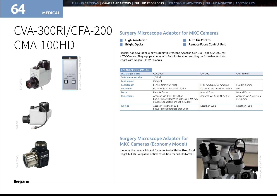# CVA-300RI/CFA-200 CMA-100HD





*CVA-300RI*









### Surgery Microscope Adaptor for MKC Cameras

- $\blacksquare$  High Resolution
- $\blacksquare$  Bright Optics
- $\blacksquare$  Auto Iris Control
- Remote Focus Control Unit

Ikegami has developed a new surgery microscope Adaptor, CVA-300R and CFA-200, for HDTV Camera. They equip cameras with Auto iris function and they perform deeper focal length with Ikegami HDTV Cameras.

| RATINGS/PERFORMANCE      |                                                                                                              |                             |                                       |
|--------------------------|--------------------------------------------------------------------------------------------------------------|-----------------------------|---------------------------------------|
| <b>LCD Diagonal Size</b> | CVA-300RI                                                                                                    | CFA-200                     | <b>CMA-100HD</b>                      |
| Suitable sensor size     | $1/3$ -inch                                                                                                  |                             |                                       |
| <b>Lens Mount</b>        | C-mount                                                                                                      |                             |                                       |
| <b>Focal length</b>      | $f = 45-59$ mm (Vari-focal)                                                                                  | $f=45$ mm type / 59 mm type | Fixed (f=55mm)                        |
| <b>Iris Power</b>        | DC12V±10%; less than 120 mA                                                                                  | DC12V ±10%, less than 120mA | N/A                                   |
| <b>Focus</b>             | Remote Focus                                                                                                 | Manual Focus                | Manual Focus                          |
| <b>Dimensions</b>        | Adaptor: W132xH107xD 53<br>Focus Remote Box: W 65 x H 135 x D 245 mm<br>(Knobs, Connectors are not included) | Adaptor: W132xH107xD 53     | Adaptor: W 57.5 x H 55.5<br>$xD36$ mm |
| Weight                   | Adaptor: less than 600 g<br>Focus Remote Box: less than 200 g                                                | Less than 600 g             | Less than 185q                        |

#### Surgery Microscope Adaptor for MKC Cameras (Economy Model)

It equips the manual iris and focus control with the fixed focal length but still keeps the optical resolution for Full-HD format.

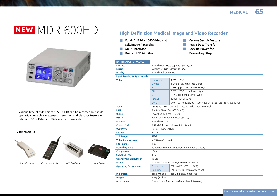### **NEW** MDR-600HD



Various type of video signals (SD & HD) can be recorded by simple operation. Reliable simultaneous recording and playback feature on Internal HDD or External USB-device is also available.

#### **Optional Units:**





*Barcodereader Remote Controller USB Cardreader Foot Switch*

### High Definition Medical Image and Video Recorder

- Full-HD 1920  $\times$  1080 Video and
	- Still Image Recording
- $\blacksquare$  Multi-Interface
- **N** Built-in LCD Monitor
- **N** Various Search Feature
- n Image Data Transfer
- Back-up Power for Momentary Stop

| RATINGS/PERFORMANCE                   |                                                    |                                                                      |  |  |  |
|---------------------------------------|----------------------------------------------------|----------------------------------------------------------------------|--|--|--|
| Internal                              | 2.5-inch HDD (Data Capacity 450 GByte)             |                                                                      |  |  |  |
| <b>External</b>                       | USB Drive (Flash Memory or HDD)                    |                                                                      |  |  |  |
| <b>Display</b>                        | 3.5-inch, Full Colour LCD                          |                                                                      |  |  |  |
| <b>Input Signals / Output Signals</b> |                                                    |                                                                      |  |  |  |
| Video                                 | Composite                                          | $1.0$ Vp-p $75$ $\Omega$                                             |  |  |  |
|                                       | S-Video                                            | 1.0 Vp-p $75\Omega$ luminance Signal                                 |  |  |  |
|                                       | NTSC                                               | $0.286$ Vp-p 75 $\Omega$ chrominance Signal                          |  |  |  |
|                                       | PAL                                                | 0.3 Vp-p $75\Omega$ chrominance Signal                               |  |  |  |
|                                       | <b>SD</b>                                          | SD-SDI NTSC (480 i), PAL (576 i)                                     |  |  |  |
|                                       | <b>HD-SDI</b>                                      | 1080p, 1080i, 720p                                                   |  |  |  |
|                                       | DVI-D                                              | 640 x 480 - 1920 x 1200 (1920 x 1200 will be reduced to 1728 x 1080) |  |  |  |
| Audio                                 |                                                    | - 8 dBs 10 kΩ or more, unbalance SDI Video Input Terminal            |  |  |  |
| LAN                                   | RJ45 (100 Base-TX/1000 Base-T)                     |                                                                      |  |  |  |
| USB-A                                 | Recording x 2 (Front USB 2.0)                      |                                                                      |  |  |  |
| USB-B                                 |                                                    | For PC Connection x 1 (Rear USB 2.0)                                 |  |  |  |
| Remote                                | 2.5-inch Mini-Jack                                 |                                                                      |  |  |  |
| <b>Contact Switch</b>                 | 3.5-inch Mini-Jack, Video x 1, Photo x 1           |                                                                      |  |  |  |
| <b>USB Drive</b>                      | Flash Memory or HDD                                |                                                                      |  |  |  |
| <b>Format</b>                         | FAT32                                              |                                                                      |  |  |  |
| Still Image                           | <b>JPEG</b>                                        |                                                                      |  |  |  |
| <b>Video Compression</b>              | MPEG-4 AVC/H.264                                   |                                                                      |  |  |  |
| <b>File Format</b>                    | mov                                                |                                                                      |  |  |  |
| <b>Recording Time</b>                 | 90 hours. Internal HDD: 500GB, EQ: Economy Quality |                                                                      |  |  |  |
| <b>Compression</b>                    | <b>LPCM</b>                                        |                                                                      |  |  |  |
| Sampling Freg.                        | 48 KHz                                             |                                                                      |  |  |  |
| <b>Quantifying Bit Number</b>         | 16-Bit                                             |                                                                      |  |  |  |
| Power                                 | AC100V - 240V ±10% 50/60Hz 0.62A - 0.35A           |                                                                      |  |  |  |
| <b>Operating Environment</b>          | Temperature                                        | 5°F to 40°F (32°F to 104°F)                                          |  |  |  |
|                                       | Humidity                                           | 5% to 80% RH (non-condensing)                                        |  |  |  |
| <b>Dimension</b>                      |                                                    | 210.5 W x 88.5 H x 235 D mm (incl. rubber foot)                      |  |  |  |
| Weight                                | 2.6 kg (5.7 lbs)                                   |                                                                      |  |  |  |
| <b>Accessories</b>                    | Power Cord x 1 Instruction Manual (with Warranty)  |                                                                      |  |  |  |
|                                       |                                                    |                                                                      |  |  |  |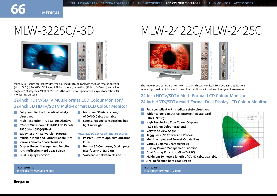**MEDICAL**

**66**

### MLW-3225C/-3D



MLW-3200C series are large Widescreen 32-inch LCD Monitors with the high resolution 1920 (H) x 1080 (V) Full-HD LCD Panel, 1Billion colour graduation (10-bit x 3-Colour) and wide angle of 178 degrees. MLW-3225C-3D is the latest development for surgical operation 3D monitoring systems

#### 32-inch HDTV/SDTV Multi-Format LCD Colour Monitor / 32-inch 3D HDTV/SDTV Multi-Format LCD Colour Monitor

- $\blacksquare$  Fully compliant with medical safety directives
- **High Resolution, True Colour Displays**
- 32-inch Widescreen Full-HD LCD Panels 1920(H)x1080(V)Pixel
- Jaggy-less I/P Conversion Process
- n Multiple Input and Format Capabilities
- Various Gamma Characteristics
- **Display Power Management Function**
- n Anti-Reflection Hard Coat Screen
- Dual Display Function
- **Naximum 30 Meters Length** of DVI-D Cable available
- $\blacksquare$  Strong, rugged construction, but light in weight

*Bottom connectors of MLW-3225C/-3D*

#### **MLW-3225C-3D Additional Features**

- Passive 3D with Xpol®Polarization Filter
- **No Built-in 3D Composer, Dual Inputs**
- Interface (HD-SDI 2ch)
- $\blacksquare$  Switchable between 2D and 3D

# MLW-2422C/MLW-2425C



The MLW-2400C series are Multi-Format 24-inch LCD Monitors for specialist applications where high quality picture and true colour rendition with wide colour gamut are needed.

### 24-inch HDTV/SDTV Multi-Format LCD Colour Monitor 24-inch HDTV/SDTV Multi-Format Dual Display LCD Colour Monitor

- Fully compliant with medical safety directives
- **N** Wider colour gamut than EBU/AMPTE standard (102% NTSC)
- $\blacksquare$  High Resolution, True Colour Displays (1.06 Billion Colour gradient)
- Very wide view Angle
- Jaggy-less I/P Conversion Process
- n Multiple Input and Format Capabilities
- Various Gamma Characteristics
- Display Power Management Function
- Dual Display Function (MLW-2425C)
- n Maximum 30 meters length of DVI-D cable available
- n Anti-Reflection hard coat Screen

#### RELATED ITEMS:

#### TS-261 DESKTOP STAND | M-RGB3



RELATED ITEMS: TS-321 DESKTOP STAND | M-RGB3

**Ikegami**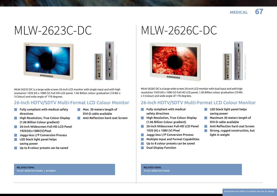### MLW-2623C-DC





MLW-2623C-DC is a large wide screen 26-inch LCD monitor with single input and with high resolution 1920 (H) x 1080 (V) Full HD LCD panel, 1.06 Billion colour graduation (10-Bit x 3-Colour) and wide angle of 178 degrees.

#### 26-inch HDTV/SDTV Multi-Format LCD Colour Monitor

- $\blacksquare$  Fully compliant with medical safety directives
- High Resolution, True Colour Display (1.06 Billion Colour gradient)
- **n** 26-inch Widescreen Full-HD LCD Panel 1920(H)x1080(V)Pixel
- Jaggy-less I/P Conversion Process
- LED black light panel helps saving power
- $\Box$  Up to 8 colour presets can be saved

#### RELATED ITEMS: TS-261 DESKTOP STAND | M-MSDI3

### $\blacksquare$  Max. 30 meters length of

- DVI-D cable available
- **n** Anti-Reflection hard coat Screen

# MLW-2626C-DC





MLW-2626C-DC is a large wide screen 26-inch LCD monitor with dual input and with high resolution 1920 (H) x 1080 (V) Full HD LCD panel, 1.06 Billion colour graduation (10-Bit x 3-Colour) and wide angle of 178 degrees.

#### 26-inch HDTV/SDTV Multi-Format LCD Colour Monitor

- $\blacksquare$  Fully compliant with medical safety directives
- $\blacksquare$  High Resolution, True Colour Display (1.06 Billion Colour gradient)
- n 26-inch Widescreen Full-HD LCD Panel 1920 (H) x 1080 (V) Pixel
- $\blacksquare$  Jaggy-less I/P Conversion Process
- n Multiple Input and Format Capabilities
- Up to 8 colour presets can be saved
- $\blacksquare$  Dual Display Function
- $\blacksquare$  LED black light panel helps saving power
- $\blacksquare$  Maximum 30 meters length of DVI-D cable available
- n Anti-Reflection hard coat Screen
- $\blacksquare$  Strong, rugged construction, but light in weight

RELATED ITEMS: TS-261 DESKTOP STAND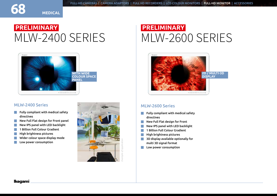

### **PRELIMINARY PRELIMINARY** MLW-2400 SERIES MLW-2600 SERIES



#### MLW-2400 Series

- $\blacksquare$  Fully compliant with medical safety directives
- n New Full Flat design for Front panel
- n New IPS panel with LED backlight
- 1 Billion Full Colour Gradient
- High brightness pictures
- Wider colour space display mode
- Low power consumption





#### MLW-2600 Series

- $\blacksquare$  Fully compliant with medical safety directives
- $\blacksquare$  New Full Flat design for Front
- n New IPS panel with LED backlight
- **n** 1 Billion Full Colour Gradient
- $\blacksquare$  High brightness pictures
- $\blacksquare$  3D display available optionally for multi 3D signal format
- $\blacksquare$  Low power consumption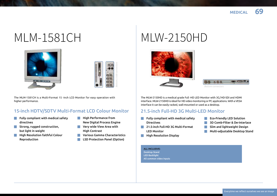### MLM-1581CH





The MLM-1581CH is a Multi-Format 15 -inch LCD Monitor for easy operation with higher performance.

#### 15-inch HDTV/SDTV Multi-Format LCD Colour Monitor

- $\blacksquare$  Fully compliant with medical safety directives
- strong, rugged construction, but light in weight
- $\blacksquare$  High Resolution faithful Colour Reproduction
- **n** High Performance from New Digital Process Engine
- $\blacksquare$  Very wide View Area with High Contrast
- $\blacksquare$  Various Gamma Characteristics
- **n** LSD Protection Panel (Option)

# MLW-2150HD





The MLW-2150HD is a medical grade Full -HD LED Monitor with 3G/HD-SDI and HDMI interface. MLW-2150HD is ideal for HD video monitoring or PC applications. With a VESA interface it can be easily racked, wall-mounted or used as a desktop.

#### 21.5-inch Full-HD 3G Multi-LED Monitor

- $\blacksquare$  Fully compliant with medical safety Directives
- **n** 21.5-inch Full-HD 3G Multi-Format LED Monitor
- $\blacksquare$  High Resolution Display
- $\blacksquare$  Eco-Friendly LED Solution
- **n** 3D Comb-Filter & De-Interlace
- $\blacksquare$  Slim and lightweight Design
- $\blacksquare$  Multi-adjustable Desktop Stand

ALL INCLUSIVE: Desktop Stand LED Backlight All common video inputs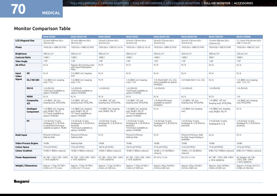### Monitor Comparison Table

|                             | <b>MLW-3225C</b>                                                                                        | <b>MLW-3225C-3D</b>                                                                                     | <b>MLW-2422C</b>                                           | <b>MLW-2425C</b>                                                                                        | <b>MLW-2623C-DC</b>                                                 | <b>MLW-2626C-DC</b>                                                | <b>MLM-1581CH</b>                              | <b>MLW-2150HD</b>                                          |
|-----------------------------|---------------------------------------------------------------------------------------------------------|---------------------------------------------------------------------------------------------------------|------------------------------------------------------------|---------------------------------------------------------------------------------------------------------|---------------------------------------------------------------------|--------------------------------------------------------------------|------------------------------------------------|------------------------------------------------------------|
| <b>LCD Diagonal Size</b>    | 32-inch 698 mm $(H)$ x<br>$393$ mm (V)                                                                  | 32-inch 698 mm (H) $x$<br>393 mm $(V)$                                                                  | 24-inch 518 mm (H) x<br>$324$ mm (V)                       | 24-inch 518 mm $(H)$ x<br>$324$ mm (V)                                                                  | 26-inch 576 mm (H) x<br>$324$ mm (V)                                | 26-inch 576 mm (H) x<br>$324$ mm $(V)$                             | 15-inch 304 mm (H) x<br>$228$ mm (V)           | 21.5-inch 476.64 mm (H) x<br>268.11 mm (V)                 |
|                             | 1920 (H) x 1080 (V) FHD                                                                                 | 1920 (H) x 1080 (V) FHD                                                                                 | 1920 (H) x 1200 (V) 16:10                                  | 1920 (H) x 1200 (V) 16:10                                                                               | 1920 (H) x 1080 (V) FHD                                             | 1920 (H) x 1080 (V) FHD                                            | 1024 (H) x 768 (V) FHD                         | 1920 (H) x 1080 (V) 16:9                                   |
| <b>Brightness</b>           | 500 cd / $m2$                                                                                           | $200 \text{ cd} / \text{m}^2$                                                                           | 400 cd / m <sup>2</sup>                                    | 400 cd / $m2$                                                                                           | 450 cd / m <sup>2</sup>                                             | 450 cd / m <sup>2</sup>                                            | 400 cd / $m^2$                                 | 250 cd / m2                                                |
| <b>Contrast Ratio</b>       | 1300:1                                                                                                  | 1300:1                                                                                                  | 1000:1                                                     | 1000:1                                                                                                  | 1400:1                                                              | 1400:1                                                             | 500:1                                          | 1000:1                                                     |
| <b>View Angle</b>           | $178^\circ$                                                                                             | $178^\circ$                                                                                             | $178^\circ$                                                | $178^\circ$                                                                                             | $178^\circ$                                                         | $178^\circ$                                                        | $178^\circ$                                    | $170^\circ$                                                |
| 3D effect                   | N/A                                                                                                     | Passive 3D (Line-by-Line)<br>with Xpol Polarization<br>Filter                                           | N/A                                                        | N/A                                                                                                     | N/A                                                                 | N/A                                                                | N/A                                            | N/A                                                        |
| 3D                          | N/A                                                                                                     | 2 ch (BNC incl. looping<br>out)                                                                         | N/A                                                        | N/A                                                                                                     | N/A                                                                 | N/A                                                                | N/A                                            | N/A                                                        |
| 3G / HD-SDI                 | 1 ch (BNC incl. looping<br>out), 1.5 G                                                                  | 1 ch (BNC incl. looping<br>out), 1.5 G                                                                  | N/A                                                        | 1 ch (BNC incl. looping<br>o ut), 1.5 G                                                                 | 1 ch Multi-SDI(1.5 G, 3 G)<br>input available as option:<br>M-MSDI3 | 2 ch Multi-SDI (1.5 G, 3 G)                                        | N/A                                            | 1 ch (BNC incl. looping<br>out), 1.5 G, 3 G                |
| <b>DVI-D</b>                | 1 ch (DVI-D)<br>*2nd input available as<br>option: M-RGB3                                               | 1 ch (DVI-D)<br>*2nd input available as<br>option: M-RGB3                                               | 1 ch (DVI-D)                                               | 1 ch (DVI-D)<br>*2nd input available as<br>option: M-RGB3                                               | 1 ch (DVI-D)                                                        | 2 ch (DVI-D)                                                       | 1 ch (DVI-D)                                   | 1 ch (DVI-D)                                               |
| <b>HDMI</b>                 | N/A                                                                                                     | N/A                                                                                                     | N/A                                                        | N/A                                                                                                     | N/A                                                                 | N/A                                                                | N/A                                            | 1 <sub>ch</sub>                                            |
| Composite,<br>Y/C           | 1 ch (BNC, Y/C incl.<br>looping out), NTSC/PAL                                                          | 1 ch (BNC, Y/C incl.<br>looping out), NTSC/PAL                                                          | 1 ch (BNC, Y/C incl.<br>looping out), NTSC/PAL             | 1 ch (BNC, Y/C incl.<br>looping out), NTSC/PAL                                                          | 1 ch Multi-SDI input<br>available as option:<br>M-MSDI3             | 1 ch (BNC, Y/C incl.<br>looping out), NTSC/PAL                     | 1 ch (BNC, Y/C incl.<br>looping out), NTSC/PAL | 1 ch (BNC incl. looping<br>out), NTSC/PAL                  |
| Analogue<br>Component       | 1 ch (BNC incl. looping<br>out), RGB/Y, Pb, Pr<br>*2 <sup>nd</sup> input available as<br>option: M-RGB3 | 1 ch (BNC incl. looping<br>out), RGB/Y, Pb, Pr<br>*2 <sup>nd</sup> input available as<br>option: M-RGB3 | 1 ch (BNC incl. looping<br>out), RGB/Y, Pb, Pr             | 1 ch (BNC incl. looping<br>out), RGB/Y, Pb, Pr<br>*2 <sup>nd</sup> input available as<br>option: M-RGB3 | N/A                                                                 | 1 ch (BNC incl. looping<br>out)                                    | 1 ch (BNC incl. looping<br>out), RGB/Y, Pb, Pr | N/A                                                        |
| PC                          | 1 ch (D-Sub 15 pin),<br>Analogue R, G, B (VGA<br>to WUXGA)*2nd input<br>vailable as option: -RGB3       | 1 ch (D-Sub 15 pin),<br>Analogue R, G, B (VGA to<br>WUXGA)<br>*2nd input available as<br>option: M-RGB3 | 1 ch (D-Sub 15 pin),<br>Analogue R, G, B (VGA to<br>WUXGA) | 1 ch (D-Sub 15 pin),<br>Analogue R, G, B (VGA to<br>WUXGA)<br>*2nd input available as<br>option: M-RGB3 | 1 ch (D-Sub 15 pin),<br>Analogue R, G, B (VGA to<br>WUXGA)          | 1 ch (D-Sub 15 pin),<br>Analogue R, G, B (VGA to<br>WUXGA)         | 1 ch (D-Sub 15 pin),<br>Analogue R, G, B       | 1 ch (D-Sub 15 pin),<br>Analogue R, G, B (VGA to<br>WUXGA) |
| Multi Input                 | Picture-in-Picture,<br>Side-by-Side                                                                     | Picture-in-Picture,<br>Side-by-Side                                                                     | N/A                                                        | Picture-in-Picture,<br>Side-by-Side                                                                     | N/A                                                                 | Picture-in-Picture, Side-<br>by-Side, Swap Display is<br>available | N/A                                            | N/A                                                        |
| <b>Video Process Engine</b> | 10-Bit                                                                                                  | Side-by-Side                                                                                            | 10-Bit                                                     | 10-Bit                                                                                                  | 10-Bit                                                              | 10-Bit                                                             | 10-Bit                                         | 10-Bit                                                     |
| <b>Colour Space</b>         | 72% (of NTSC)                                                                                           | 72% (of NTSC)                                                                                           | 102% (of NTSC)                                             | 102% (of NTSC)                                                                                          | 72% (of NTSC)                                                       | 72% (of NTSC)                                                      | 72% (of NTSC)                                  | 72% (of NTSC)                                              |
| <b>Colour Gradinet</b>      | 10-Bit (1 Billion colours)                                                                              | 10-Bit (1 Billion colours)                                                                              | 10-Bit (1 Billion colours)                                 | 10-Bit (1 Billion colours)                                                                              | 10-Bit x 3 (1.06 Billion<br>colours)                                | 10-Bit x 3 (1.06 Billion<br>colours)                               | 8-Bit (16,7 Million colours)                   | 8-Bit (16.7 Million colours)                               |
| <b>Power Requirement</b>    | AC100 - 120V. 200 - 240V<br>$± 10\% 50/60 Hz$                                                           | AC 100 - 120 V. 200 - 240 V<br>$± 10\% 50/60 Hz$                                                        | AC100 - 120V. 200 - 240V<br>± 10% 50/60 Hz                 | AC100 - 120 V. 200 - 240 V<br>$± 10\% 50/60 Hz$                                                         | DC24V/3.3A                                                          | DC24V/3.3A                                                         | AC100 - 120V, 200 - 240V<br>±10%50/60Hz        | AC Adaptor AC 100 -<br>120V, 200 - 240V<br>± 10% 50/60 Hz  |
| <b>Weight / Dimensions</b>  | Approx. 13 kg / W 780 x<br>H493 x D117,5 mm                                                             | Approx. 13 kg / W 780 x<br>H493 x D117,5 mm                                                             | Approx. 7.2 kg / W 583 x<br>H442 x D 109 mm                | Approx. 7.4 kg / W 583 x<br>H442 x D 109 mm                                                             | Approx. 8 kg / W 640 x<br>$H418 \times D82$ mm                      | Approx. 8 kg / W 640 x<br>$H418 \times D82$ mm                     | Approx. 6 kg / W366 x<br>H320 x D102 mm        | Approx. 4.35 kg / W 515 x<br>H390 x D182 mm                |
|                             |                                                                                                         |                                                                                                         |                                                            |                                                                                                         |                                                                     |                                                                    |                                                |                                                            |